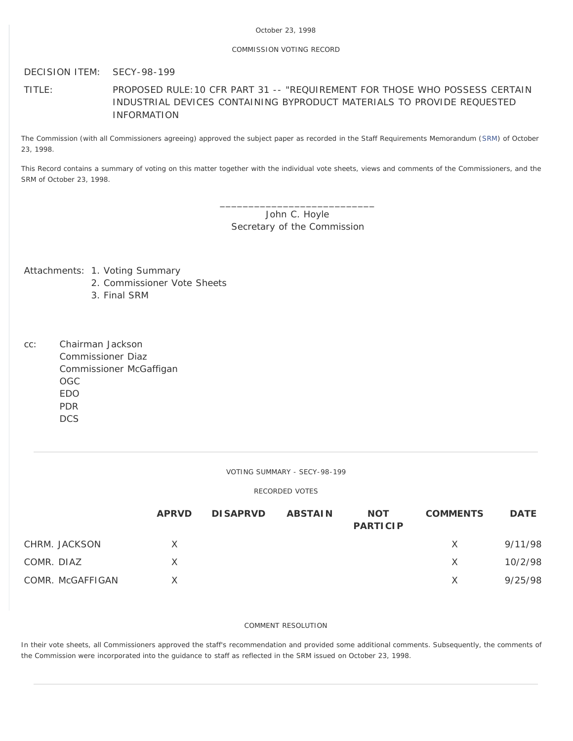# October 23, 1998

## COMMISSION VOTING RECORD

DECISION ITEM: SECY-98-199

TITLE: PROPOSED RULE:10 CFR PART 31 -- "REQUIREMENT FOR THOSE WHO POSSESS CERTAIN INDUSTRIAL DEVICES CONTAINING BYPRODUCT MATERIALS TO PROVIDE REQUESTED INFORMATION

The Commission (with all Commissioners agreeing) approved the subject paper as recorded in the Staff Requirements Memorandum [\(SRM](http://www.nrc.gov/reading-rm/doc-collections/commission/srm/1998/1998-199srm.html)) of October 23, 1998.

This Record contains a summary of voting on this matter together with the individual vote sheets, views and comments of the Commissioners, and the SRM of October 23, 1998.

> \_\_\_\_\_\_\_\_\_\_\_\_\_\_\_\_\_\_\_\_\_\_\_\_\_\_\_ John C. Hoyle Secretary of the Commission

Attachments: 1. Voting Summary

- 2. Commissioner Vote Sheets
- 3. Final SRM
- cc: Chairman Jackson Commissioner Diaz Commissioner McGaffigan OGC EDO PDR **DCS**

VOTING SUMMARY - SECY-98-199

#### RECORDED VOTES

|                  | <b>APRVD</b> | <b>DISAPRVD</b> | <b>ABSTAIN</b> | <b>NOT</b><br><b>PARTICIP</b> | <b>COMMENTS</b> | <b>DATE</b> |
|------------------|--------------|-----------------|----------------|-------------------------------|-----------------|-------------|
| CHRM. JACKSON    | X            |                 |                |                               | $\times$        | 9/11/98     |
| COMR. DIAZ       | X            |                 |                |                               | X               | 10/2/98     |
| COMR. McGAFFIGAN |              |                 |                |                               | X               | 9/25/98     |

# COMMENT RESOLUTION

In their vote sheets, all Commissioners approved the staff's recommendation and provided some additional comments. Subsequently, the comments of the Commission were incorporated into the guidance to staff as reflected in the SRM issued on October 23, 1998.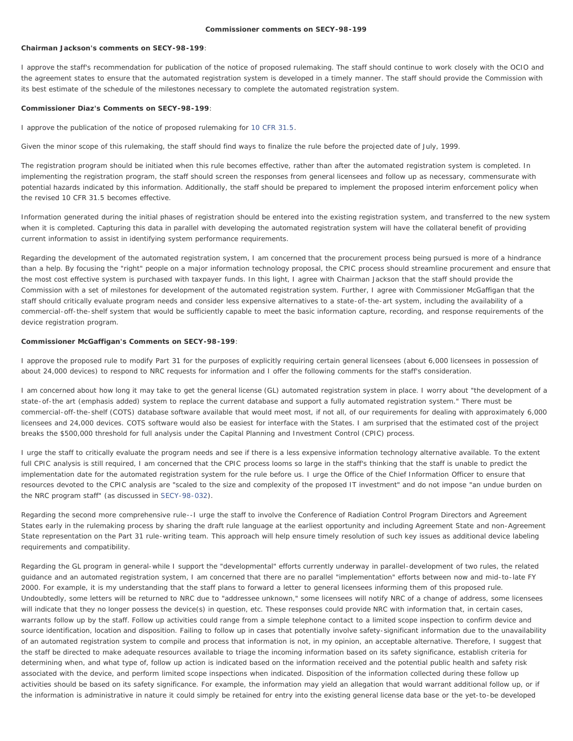#### **Commissioner comments on SECY-98-199**

## **Chairman Jackson's comments on SECY-98-199**:

I approve the staff's recommendation for publication of the notice of proposed rulemaking. The staff should continue to work closely with the OCIO and the agreement states to ensure that the automated registration system is developed in a timely manner. The staff should provide the Commission with its best estimate of the schedule of the milestones necessary to complete the automated registration system.

## **Commissioner Diaz's Comments on SECY-98-199**:

I approve the publication of the notice of proposed rulemaking for [10 CFR 31.5](http://www.nrc.gov/reading-rm/doc-collections/cfr/part031/part031-0005.html).

Given the minor scope of this rulemaking, the staff should find ways to finalize the rule before the projected date of July, 1999.

The registration program should be initiated when this rule becomes effective, rather than after the automated registration system is completed. In implementing the registration program, the staff should screen the responses from general licensees and follow up as necessary, commensurate with potential hazards indicated by this information. Additionally, the staff should be prepared to implement the proposed interim enforcement policy when the revised 10 CFR 31.5 becomes effective.

Information generated during the initial phases of registration should be entered into the existing registration system, and transferred to the new system when it is completed. Capturing this data in parallel with developing the automated registration system will have the collateral benefit of providing current information to assist in identifying system performance requirements.

Regarding the development of the automated registration system, I am concerned that the procurement process being pursued is more of a hindrance than a help. By focusing the "right" people on a major information technology proposal, the CPIC process should streamline procurement and ensure that the most cost effective system is purchased with taxpayer funds. In this light, I agree with Chairman Jackson that the staff should provide the Commission with a set of milestones for development of the automated registration system. Further, I agree with Commissioner McGaffigan that the staff should critically evaluate program needs and consider less expensive alternatives to a state-of-the-art system, including the availability of a commercial-off-the-shelf system that would be sufficiently capable to meet the basic information capture, recording, and response requirements of the device registration program.

## **Commissioner McGaffigan's Comments on SECY-98-199**:

I approve the proposed rule to modify Part 31 for the purposes of explicitly requiring certain general licensees (about 6,000 licensees in possession of about 24,000 devices) to respond to NRC requests for information and I offer the following comments for the staff's consideration.

I am concerned about how long it may take to get the general license (GL) automated registration system in place. I worry about "the development of a state-of-the art (emphasis added) system to replace the current database and support a fully automated registration system." There must be commercial-off-the-shelf (COTS) database software available that would meet most, if not all, of our requirements for dealing with approximately 6,000 licensees and 24,000 devices. COTS software would also be easiest for interface with the States. I am surprised that the estimated cost of the project breaks the \$500,000 threshold for full analysis under the Capital Planning and Investment Control (CPIC) process.

I urge the staff to critically evaluate the program needs and see if there is a less expensive information technology alternative available. To the extent full CPIC analysis is still required, I am concerned that the CPIC process looms so large in the staff's thinking that the staff is unable to predict the implementation date for the automated registration system for the rule before us. I urge the Office of the Chief Information Officer to ensure that resources devoted to the CPIC analysis are "scaled to the size and complexity of the proposed IT investment" and do not impose "an undue burden on the NRC program staff" (as discussed in [SECY-98-032\)](http://www.nrc.gov/reading-rm/doc-collections/commission/secys/1998/secy1998-032/1998-032scy.html).

Regarding the second more comprehensive rule--I urge the staff to involve the Conference of Radiation Control Program Directors and Agreement States early in the rulemaking process by sharing the draft rule language at the earliest opportunity and including Agreement State and non-Agreement State representation on the Part 31 rule-writing team. This approach will help ensure timely resolution of such key issues as additional device labeling requirements and compatibility.

Regarding the GL program in general-while I support the "developmental" efforts currently underway in parallel-development of two rules, the related guidance and an automated registration system, I am concerned that there are no parallel "implementation" efforts between now and mid-to-late FY 2000. For example, it is my understanding that the staff plans to forward a letter to general licensees informing them of this proposed rule. Undoubtedly, some letters will be returned to NRC due to "addressee unknown," some licensees will notify NRC of a change of address, some licensees will indicate that they no longer possess the device(s) in question, etc. These responses could provide NRC with information that, in certain cases, warrants follow up by the staff. Follow up activities could range from a simple telephone contact to a limited scope inspection to confirm device and source identification, location and disposition. Failing to follow up in cases that potentially involve safety-significant information due to the unavailability of an automated registration system to compile and process that information is not, in my opinion, an acceptable alternative. Therefore, I suggest that the staff be directed to make adequate resources available to triage the incoming information based on its safety significance, establish criteria for determining when, and what type of, follow up action is indicated based on the information received and the potential public health and safety risk associated with the device, and perform limited scope inspections when indicated. Disposition of the information collected during these follow up activities should be based on its safety significance. For example, the information may yield an allegation that would warrant additional follow up, or if the information is administrative in nature it could simply be retained for entry into the existing general license data base or the yet-to-be developed